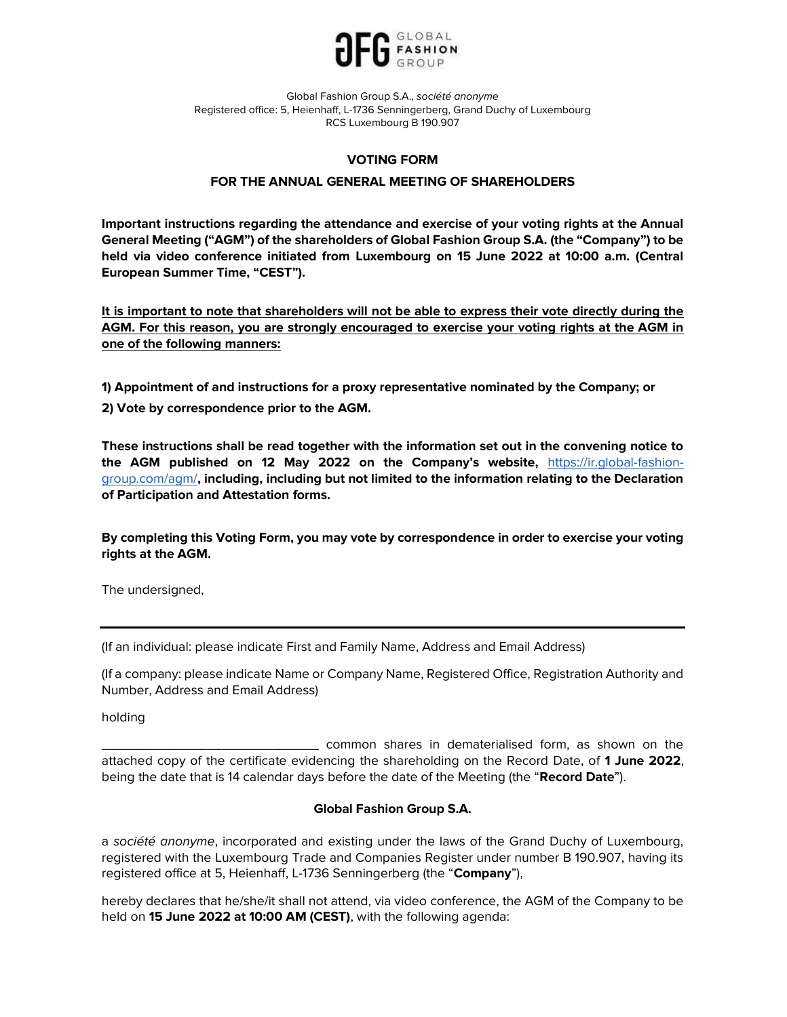

## VOTING FORM

# FOR THE ANNUAL GENERAL MEETING OF SHAREHOLDERS

Important instructions regarding the attendance and exercise of your voting rights at the Annual General Meeting ("AGM") of the shareholders of Global Fashion Group S.A. (the "Company") to be held via video conference initiated from Luxembourg on 15 June 2022 at 10:00 a.m. (Central European Summer Time, "CEST").

It is important to note that shareholders will not be able to express their vote directly during the AGM. For this reason, you are strongly encouraged to exercise your voting rights at the AGM in one of the following manners:

1) Appointment of and instructions for a proxy representative nominated by the Company; or

2) Vote by correspondence prior to the AGM.

These instructions shall be read together with the information set out in the convening notice to the AGM published on 12 May 2022 on the Company's website, https://ir.global-fashiongroup.com/agm/, including, including but not limited to the information relating to the Declaration of Participation and Attestation forms.

By completing this Voting Form, you may vote by correspondence in order to exercise your voting rights at the AGM.

The undersigned,

(If an individual: please indicate First and Family Name, Address and Email Address)

(If a company: please indicate Name or Company Name, Registered Office, Registration Authority and Number, Address and Email Address)

holding

common shares in dematerialised form, as shown on the attached copy of the certificate evidencing the shareholding on the Record Date, of 1 June 2022, being the date that is 14 calendar days before the date of the Meeting (the "Record Date").

## Global Fashion Group S.A.

a société anonyme, incorporated and existing under the laws of the Grand Duchy of Luxembourg, registered with the Luxembourg Trade and Companies Register under number B 190.907, having its registered office at 5, Heienhaff, L-1736 Senningerberg (the "Company"),

hereby declares that he/she/it shall not attend, via video conference, the AGM of the Company to be held on 15 June 2022 at 10:00 AM (CEST), with the following agenda: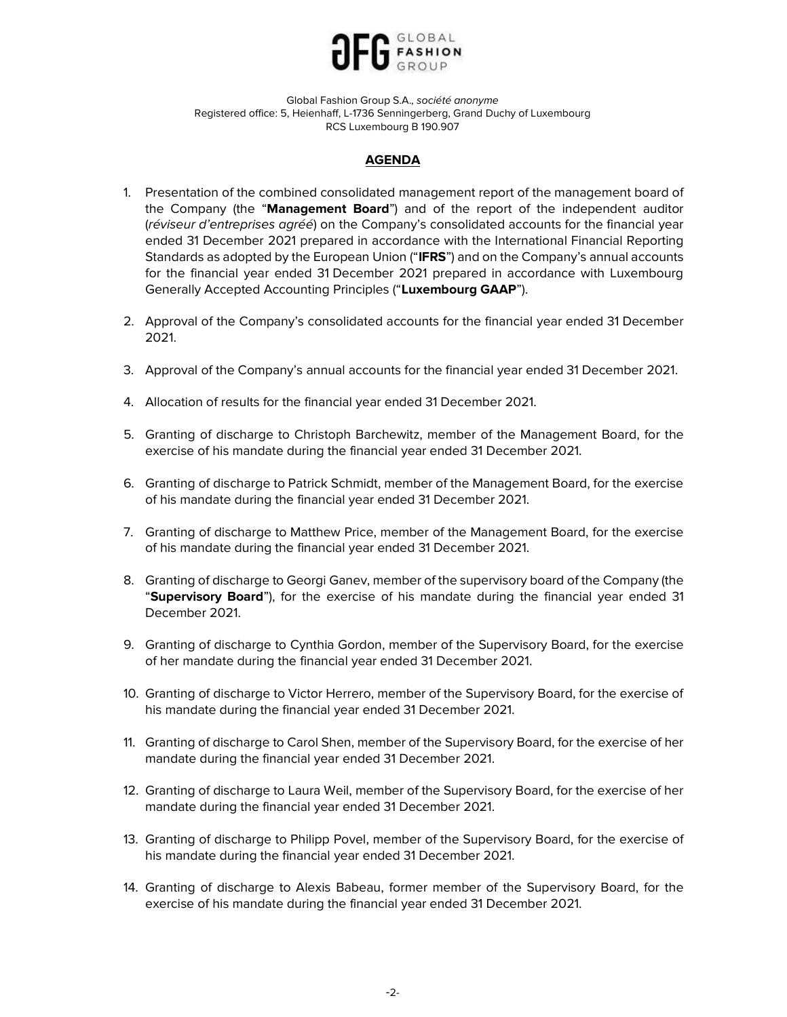

# AGENDA

- 1. Presentation of the combined consolidated management report of the management board of the Company (the "Management Board") and of the report of the independent auditor (réviseur d'entreprises agréé) on the Company's consolidated accounts for the financial year ended 31 December 2021 prepared in accordance with the International Financial Reporting Standards as adopted by the European Union ("IFRS") and on the Company's annual accounts for the financial year ended 31 December 2021 prepared in accordance with Luxembourg Generally Accepted Accounting Principles ("Luxembourg GAAP").
- 2. Approval of the Company's consolidated accounts for the financial year ended 31 December 2021.
- 3. Approval of the Company's annual accounts for the financial year ended 31 December 2021.
- 4. Allocation of results for the financial year ended 31 December 2021.
- 5. Granting of discharge to Christoph Barchewitz, member of the Management Board, for the exercise of his mandate during the financial year ended 31 December 2021.
- 6. Granting of discharge to Patrick Schmidt, member of the Management Board, for the exercise of his mandate during the financial year ended 31 December 2021.
- 7. Granting of discharge to Matthew Price, member of the Management Board, for the exercise of his mandate during the financial year ended 31 December 2021.
- 8. Granting of discharge to Georgi Ganev, member of the supervisory board of the Company (the "Supervisory Board"), for the exercise of his mandate during the financial year ended 31 December 2021.
- 9. Granting of discharge to Cynthia Gordon, member of the Supervisory Board, for the exercise of her mandate during the financial year ended 31 December 2021.
- 10. Granting of discharge to Victor Herrero, member of the Supervisory Board, for the exercise of his mandate during the financial year ended 31 December 2021.
- 11. Granting of discharge to Carol Shen, member of the Supervisory Board, for the exercise of her mandate during the financial year ended 31 December 2021.
- 12. Granting of discharge to Laura Weil, member of the Supervisory Board, for the exercise of her mandate during the financial year ended 31 December 2021.
- 13. Granting of discharge to Philipp Povel, member of the Supervisory Board, for the exercise of his mandate during the financial year ended 31 December 2021.
- 14. Granting of discharge to Alexis Babeau, former member of the Supervisory Board, for the exercise of his mandate during the financial year ended 31 December 2021.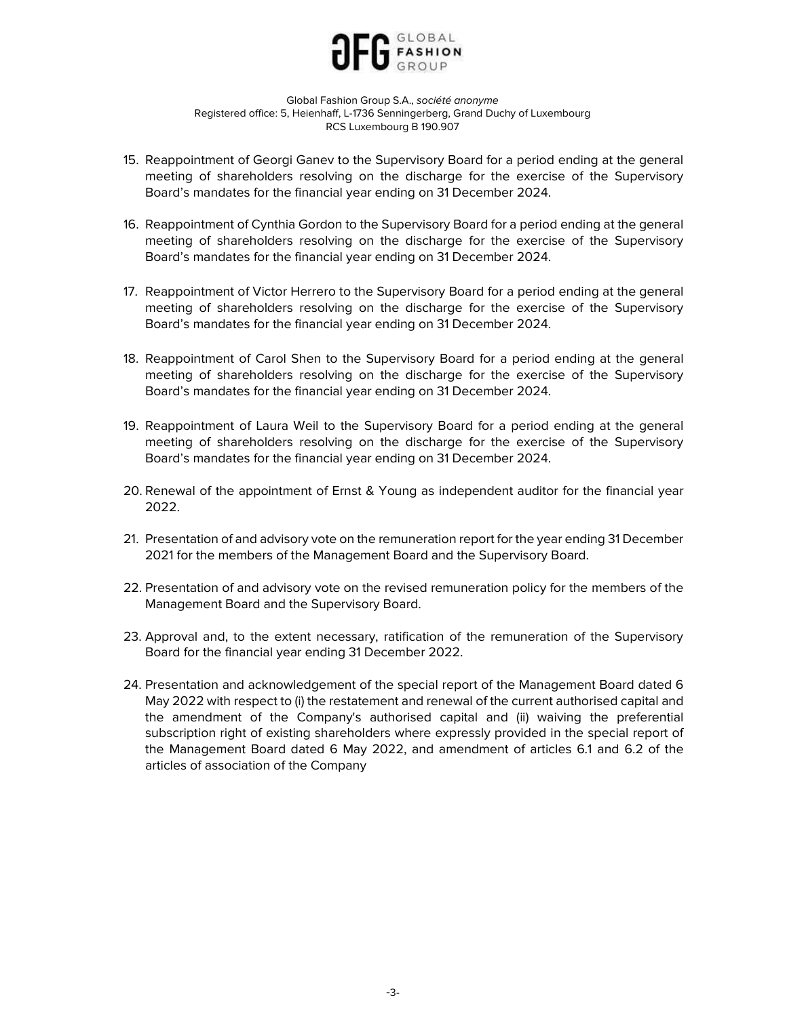

- 15. Reappointment of Georgi Ganev to the Supervisory Board for a period ending at the general meeting of shareholders resolving on the discharge for the exercise of the Supervisory Board's mandates for the financial year ending on 31 December 2024.
- 16. Reappointment of Cynthia Gordon to the Supervisory Board for a period ending at the general meeting of shareholders resolving on the discharge for the exercise of the Supervisory Board's mandates for the financial year ending on 31 December 2024.
- 17. Reappointment of Victor Herrero to the Supervisory Board for a period ending at the general meeting of shareholders resolving on the discharge for the exercise of the Supervisory Board's mandates for the financial year ending on 31 December 2024.
- 18. Reappointment of Carol Shen to the Supervisory Board for a period ending at the general meeting of shareholders resolving on the discharge for the exercise of the Supervisory Board's mandates for the financial year ending on 31 December 2024.
- 19. Reappointment of Laura Weil to the Supervisory Board for a period ending at the general meeting of shareholders resolving on the discharge for the exercise of the Supervisory Board's mandates for the financial year ending on 31 December 2024.
- 20. Renewal of the appointment of Ernst & Young as independent auditor for the financial year 2022.
- 21. Presentation of and advisory vote on the remuneration report for the year ending 31 December 2021 for the members of the Management Board and the Supervisory Board.
- 22. Presentation of and advisory vote on the revised remuneration policy for the members of the Management Board and the Supervisory Board.
- 23. Approval and, to the extent necessary, ratification of the remuneration of the Supervisory Board for the financial year ending 31 December 2022.
- 24. Presentation and acknowledgement of the special report of the Management Board dated 6 May 2022 with respect to (i) the restatement and renewal of the current authorised capital and the amendment of the Company's authorised capital and (ii) waiving the preferential subscription right of existing shareholders where expressly provided in the special report of the Management Board dated 6 May 2022, and amendment of articles 6.1 and 6.2 of the articles of association of the Company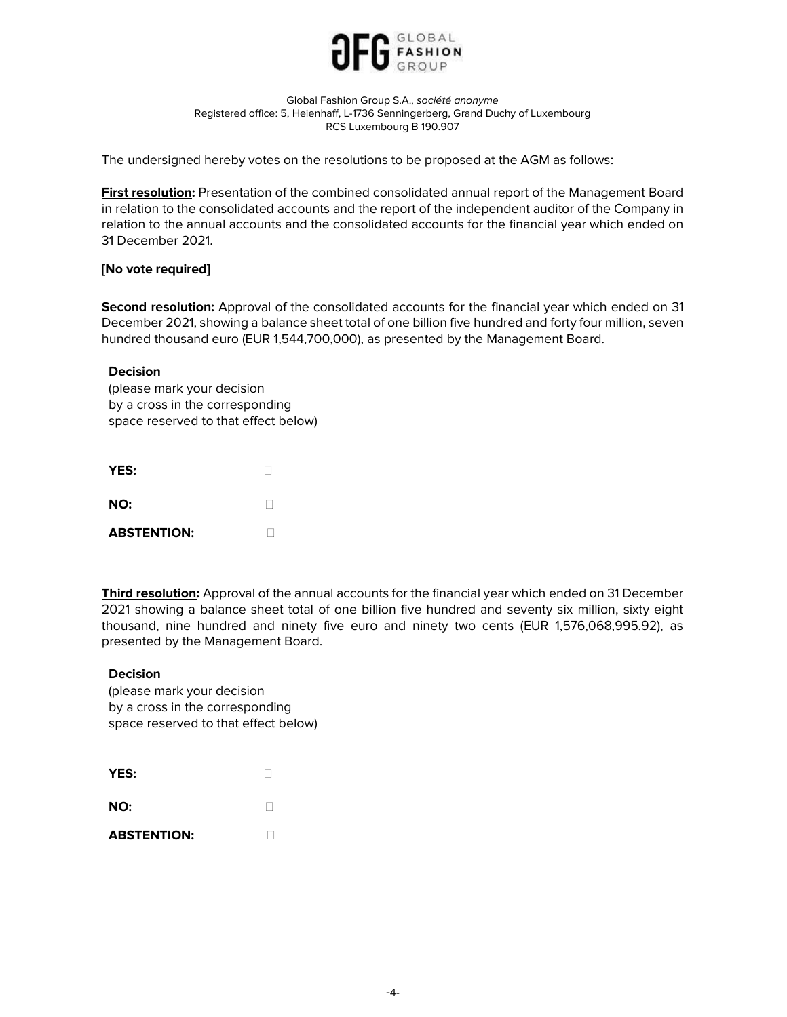

The undersigned hereby votes on the resolutions to be proposed at the AGM as follows:

First resolution: Presentation of the combined consolidated annual report of the Management Board in relation to the consolidated accounts and the report of the independent auditor of the Company in relation to the annual accounts and the consolidated accounts for the financial year which ended on 31 December 2021.

# [No vote required]

Second resolution: Approval of the consolidated accounts for the financial year which ended on 31 December 2021, showing a balance sheet total of one billion five hundred and forty four million, seven hundred thousand euro (EUR 1,544,700,000), as presented by the Management Board.

## Decision

(please mark your decision by a cross in the corresponding space reserved to that effect below)

| YES:               |  |
|--------------------|--|
| NO:                |  |
| <b>ABSTENTION:</b> |  |

Third resolution: Approval of the annual accounts for the financial year which ended on 31 December 2021 showing a balance sheet total of one billion five hundred and seventy six million, sixty eight thousand, nine hundred and ninety five euro and ninety two cents (EUR 1,576,068,995.92), as presented by the Management Board.

## Decision

| YES:               |  |
|--------------------|--|
| NO:                |  |
| <b>ABSTENTION:</b> |  |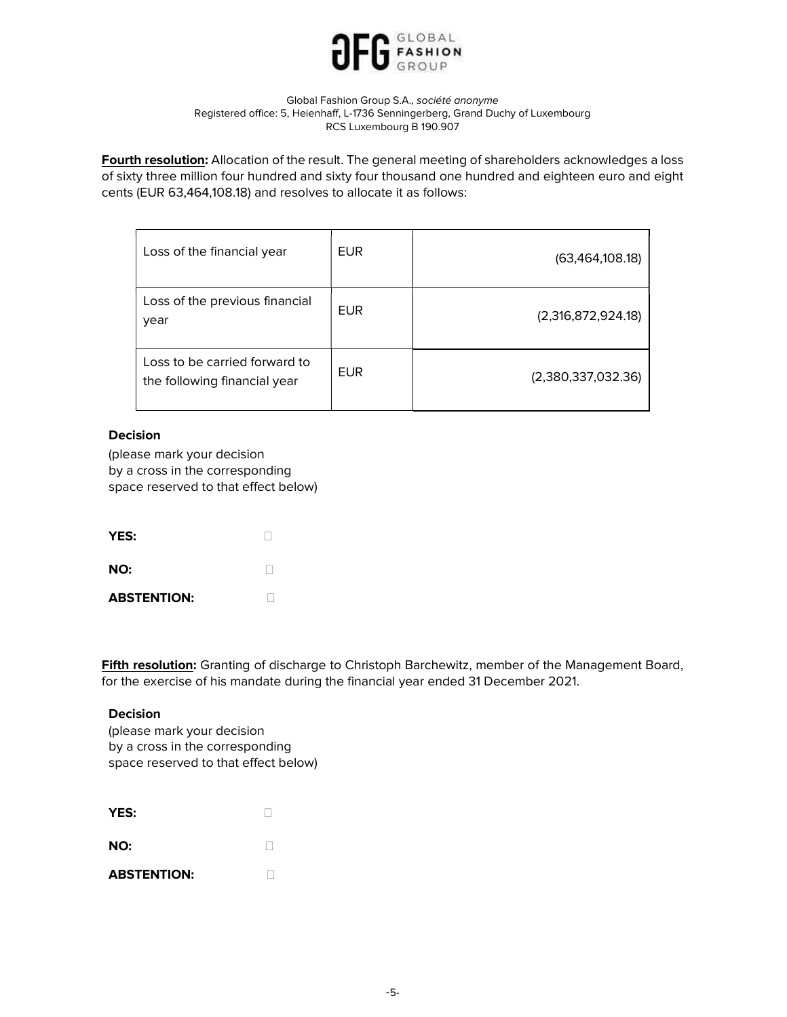

Fourth resolution: Allocation of the result. The general meeting of shareholders acknowledges a loss of sixty three million four hundred and sixty four thousand one hundred and eighteen euro and eight cents (EUR 63,464,108.18) and resolves to allocate it as follows:

| Loss of the financial year                                    | <b>EUR</b> | (63,464,108.18)    |
|---------------------------------------------------------------|------------|--------------------|
| Loss of the previous financial<br>year                        | <b>EUR</b> | (2,316,872,924.18) |
| Loss to be carried forward to<br>the following financial year | <b>FUR</b> | (2,380,337,032.36) |

# Decision

(please mark your decision by a cross in the corresponding space reserved to that effect below)

| YES:               |  |
|--------------------|--|
| NO:                |  |
| <b>ABSTENTION:</b> |  |

Fifth resolution: Granting of discharge to Christoph Barchewitz, member of the Management Board, for the exercise of his mandate during the financial year ended 31 December 2021.

## Decision

| YES:               |  |
|--------------------|--|
| NO:                |  |
| <b>ABSTENTION:</b> |  |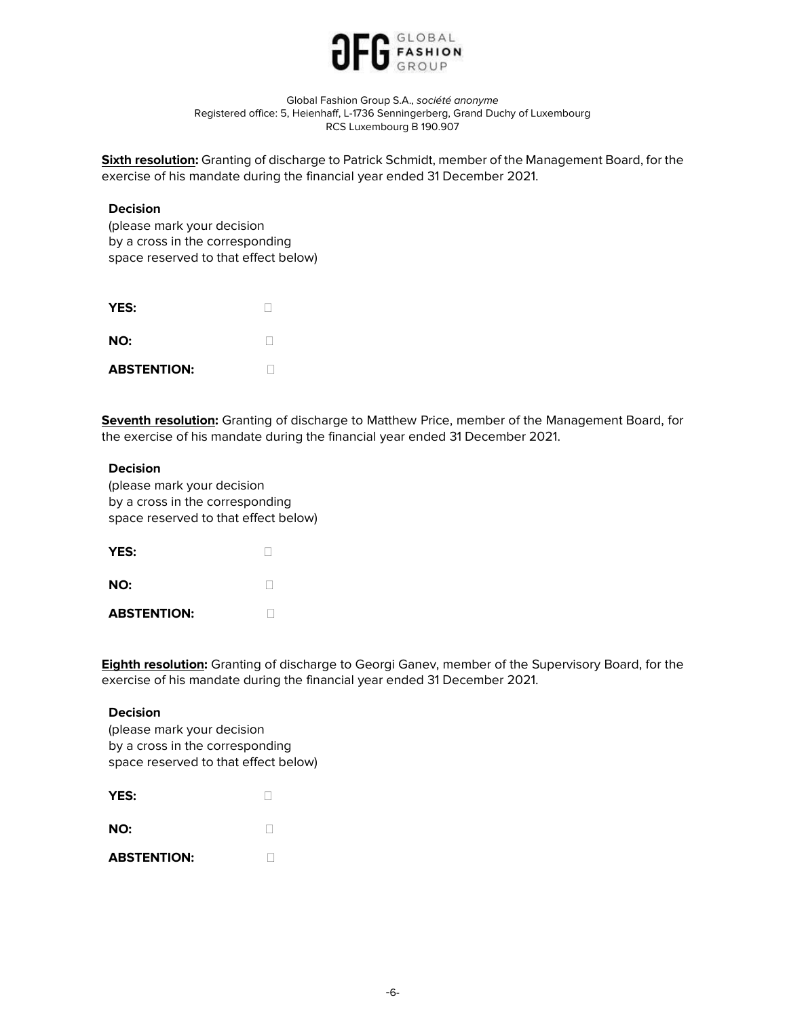

Sixth resolution: Granting of discharge to Patrick Schmidt, member of the Management Board, for the exercise of his mandate during the financial year ended 31 December 2021.

### Decision

(please mark your decision by a cross in the corresponding space reserved to that effect below)

| YES:               |  |
|--------------------|--|
| NO:                |  |
| <b>ABSTENTION:</b> |  |

**Seventh resolution:** Granting of discharge to Matthew Price, member of the Management Board, for the exercise of his mandate during the financial year ended 31 December 2021.

### Decision

(please mark your decision by a cross in the corresponding space reserved to that effect below)

| YES:               |  |
|--------------------|--|
| NO:                |  |
| <b>ABSTENTION:</b> |  |

**Eighth resolution:** Granting of discharge to Georgi Ganev, member of the Supervisory Board, for the exercise of his mandate during the financial year ended 31 December 2021.

### Decision

| YES:               |  |
|--------------------|--|
| NO:                |  |
| <b>ABSTENTION:</b> |  |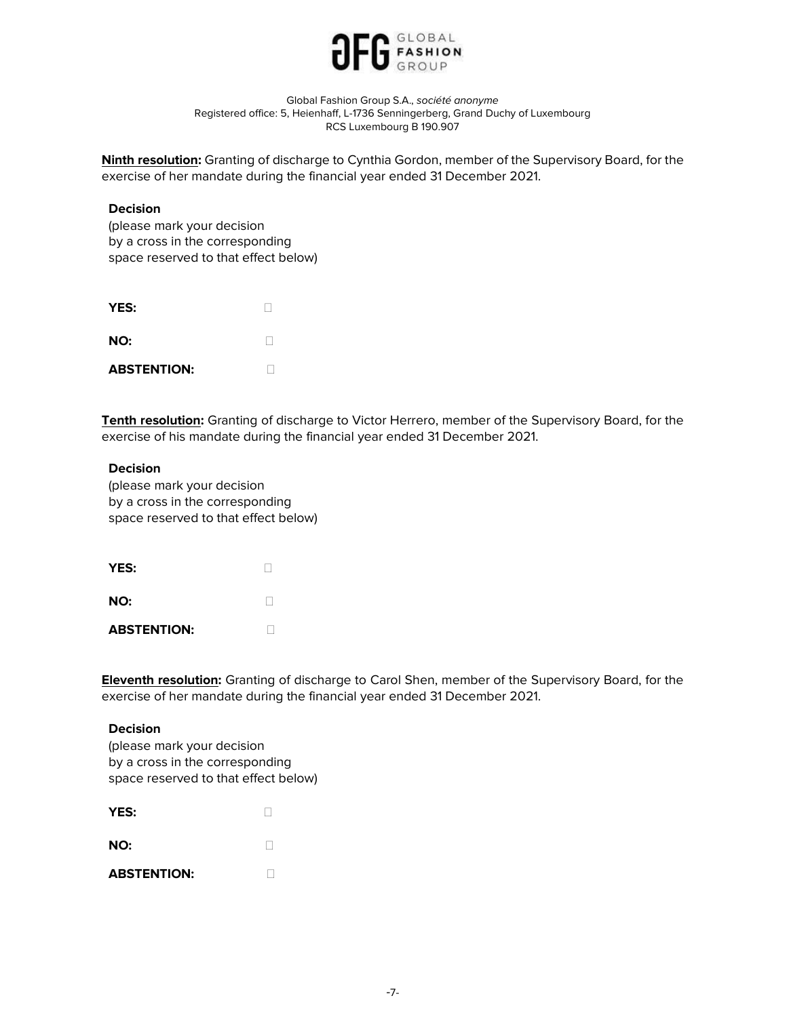

Ninth resolution: Granting of discharge to Cynthia Gordon, member of the Supervisory Board, for the exercise of her mandate during the financial year ended 31 December 2021.

### Decision

(please mark your decision by a cross in the corresponding space reserved to that effect below)

| YES:               |  |
|--------------------|--|
| NO:                |  |
| <b>ABSTENTION:</b> |  |

Tenth resolution: Granting of discharge to Victor Herrero, member of the Supervisory Board, for the exercise of his mandate during the financial year ended 31 December 2021.

### Decision

(please mark your decision by a cross in the corresponding space reserved to that effect below)

| YES:               |  |
|--------------------|--|
| NO:                |  |
| <b>ABSTENTION:</b> |  |

**Eleventh resolution:** Granting of discharge to Carol Shen, member of the Supervisory Board, for the exercise of her mandate during the financial year ended 31 December 2021.

### Decision

| YES:               |  |
|--------------------|--|
| NO:                |  |
| <b>ABSTENTION:</b> |  |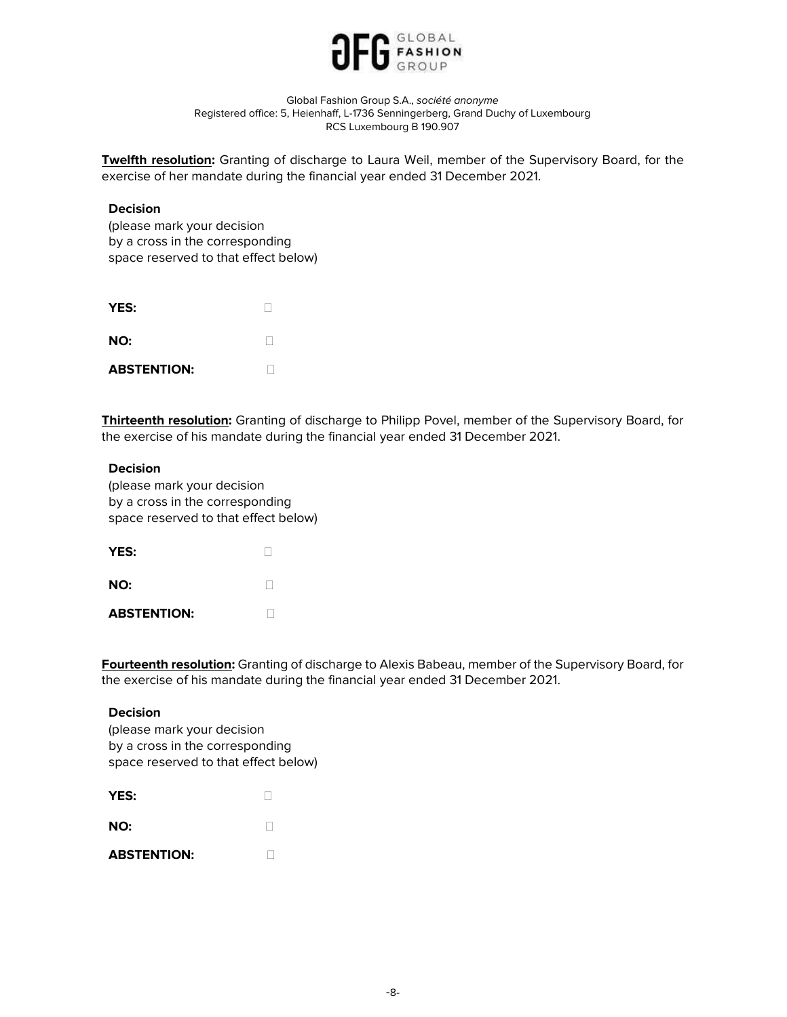

**Twelfth resolution:** Granting of discharge to Laura Weil, member of the Supervisory Board, for the exercise of her mandate during the financial year ended 31 December 2021.

### Decision

(please mark your decision by a cross in the corresponding space reserved to that effect below)

| YES:               |  |
|--------------------|--|
| NO:                |  |
| <b>ABSTENTION:</b> |  |

**Thirteenth resolution:** Granting of discharge to Philipp Povel, member of the Supervisory Board, for the exercise of his mandate during the financial year ended 31 December 2021.

### Decision

(please mark your decision by a cross in the corresponding space reserved to that effect below)

| YES:               |  |
|--------------------|--|
| NO:                |  |
| <b>ABSTENTION:</b> |  |

Fourteenth resolution: Granting of discharge to Alexis Babeau, member of the Supervisory Board, for the exercise of his mandate during the financial year ended 31 December 2021.

### Decision

| YES:               |  |
|--------------------|--|
| NO:                |  |
| <b>ABSTENTION:</b> |  |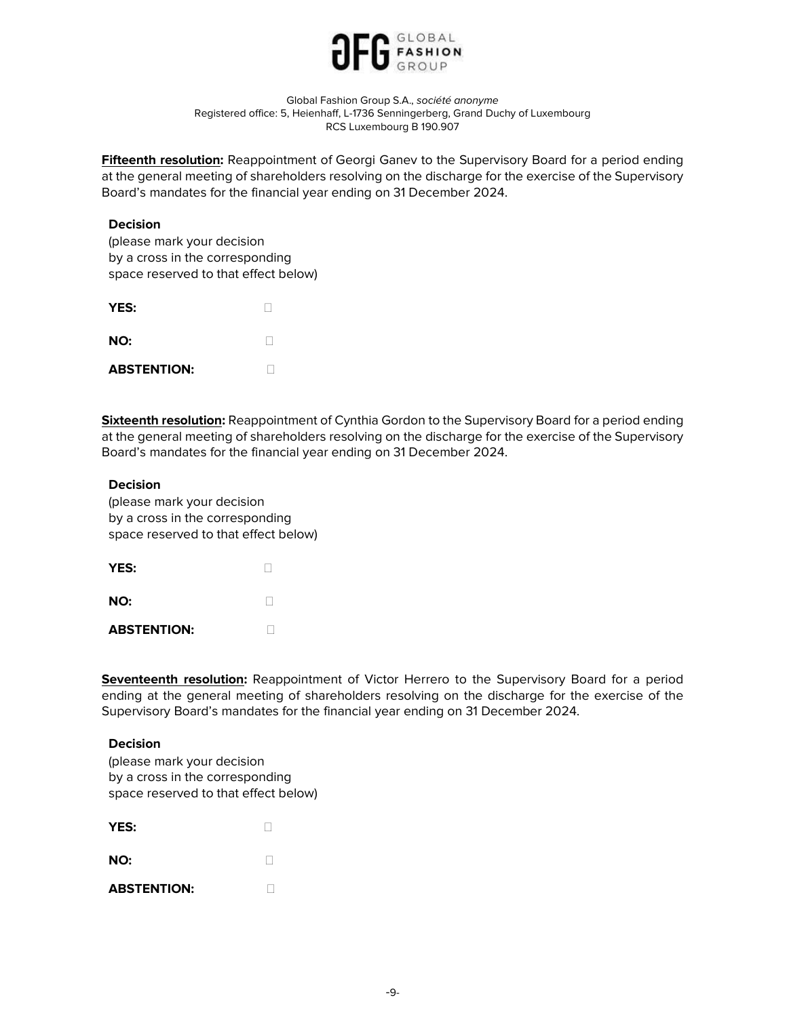

Fifteenth resolution: Reappointment of Georgi Ganev to the Supervisory Board for a period ending at the general meeting of shareholders resolving on the discharge for the exercise of the Supervisory Board's mandates for the financial year ending on 31 December 2024.

### **Decision**

(please mark your decision by a cross in the corresponding space reserved to that effect below)

| YES:               |  |
|--------------------|--|
| NO:                |  |
| <b>ABSTENTION:</b> |  |

Sixteenth resolution: Reappointment of Cynthia Gordon to the Supervisory Board for a period ending at the general meeting of shareholders resolving on the discharge for the exercise of the Supervisory Board's mandates for the financial year ending on 31 December 2024.

### **Decision**

(please mark your decision by a cross in the corresponding space reserved to that effect below)

| YES:               |  |
|--------------------|--|
| NO:                |  |
| <b>ABSTENTION:</b> |  |

Seventeenth resolution: Reappointment of Victor Herrero to the Supervisory Board for a period ending at the general meeting of shareholders resolving on the discharge for the exercise of the Supervisory Board's mandates for the financial year ending on 31 December 2024.

#### Decision

| (please mark your decision           |
|--------------------------------------|
| by a cross in the corresponding      |
| space reserved to that effect below) |
|                                      |

| YES:               |  |
|--------------------|--|
| NO:                |  |
| <b>ABSTENTION:</b> |  |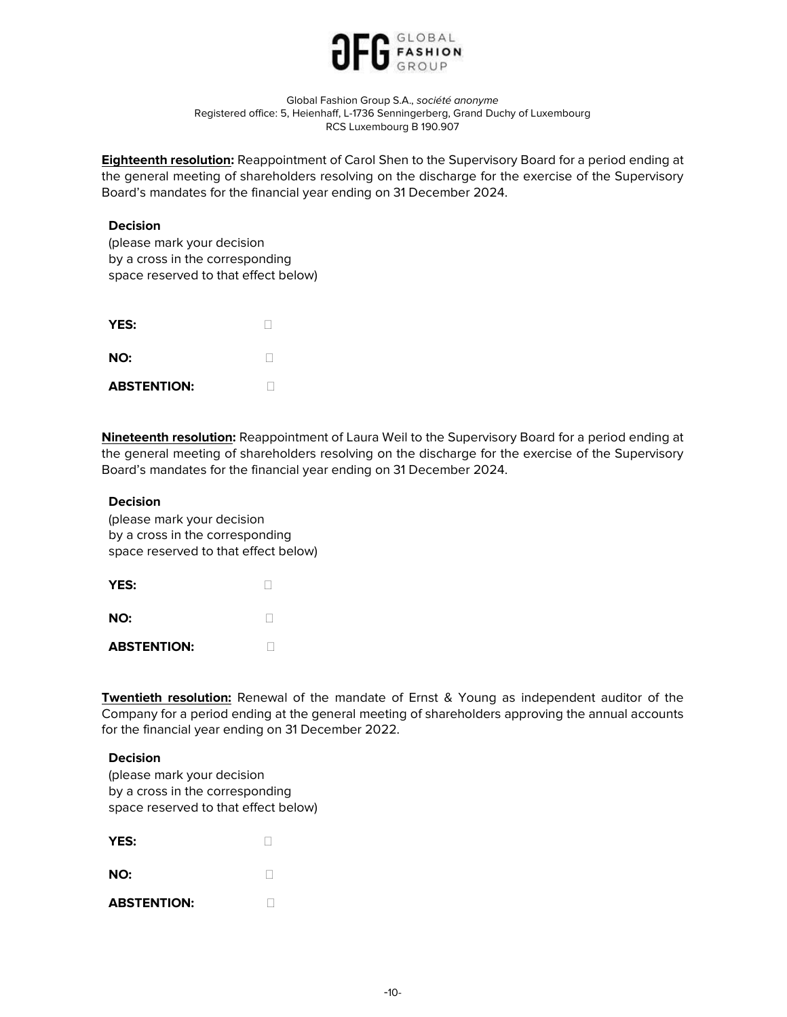

**Eighteenth resolution:** Reappointment of Carol Shen to the Supervisory Board for a period ending at the general meeting of shareholders resolving on the discharge for the exercise of the Supervisory Board's mandates for the financial year ending on 31 December 2024.

## Decision

(please mark your decision by a cross in the corresponding space reserved to that effect below)

| YES:               |  |
|--------------------|--|
| NO:                |  |
| <b>ABSTENTION:</b> |  |

Nineteenth resolution: Reappointment of Laura Weil to the Supervisory Board for a period ending at the general meeting of shareholders resolving on the discharge for the exercise of the Supervisory Board's mandates for the financial year ending on 31 December 2024.

### Decision

(please mark your decision by a cross in the corresponding space reserved to that effect below)

| YES:               |  |
|--------------------|--|
| NO:                |  |
| <b>ABSTENTION:</b> |  |

**Twentieth resolution:** Renewal of the mandate of Ernst & Young as independent auditor of the Company for a period ending at the general meeting of shareholders approving the annual accounts for the financial year ending on 31 December 2022.

### Decision

| <b>YES:</b>        |  |
|--------------------|--|
| NO:                |  |
| <b>ABSTENTION:</b> |  |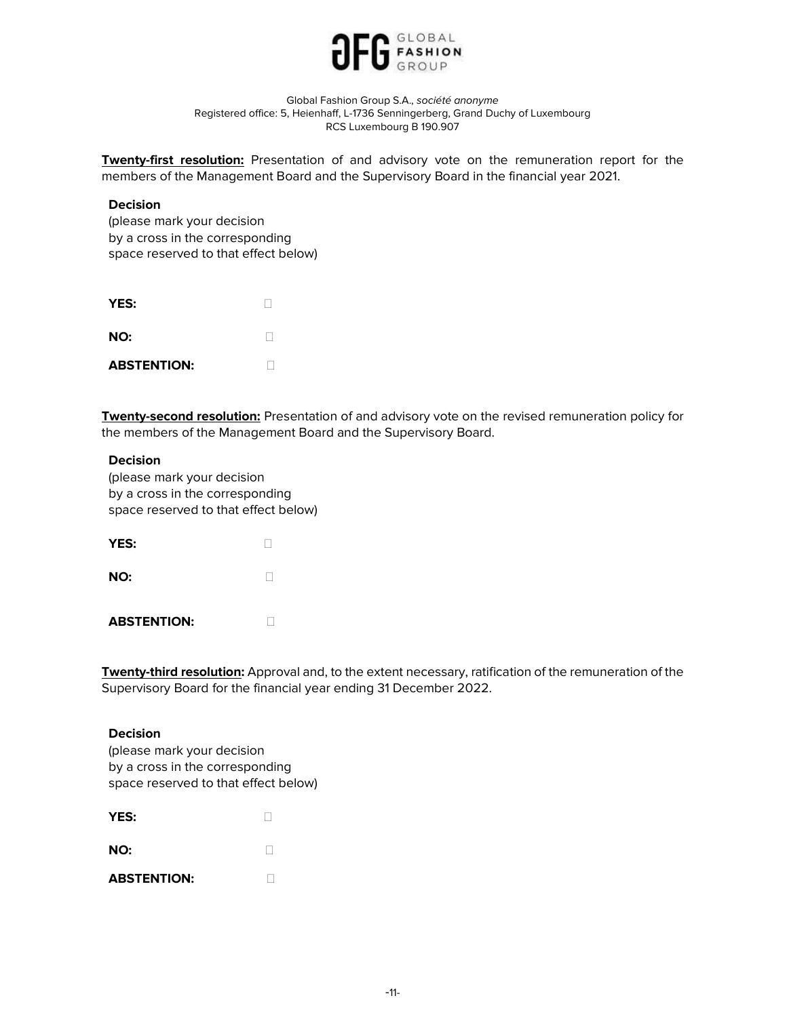

**Twenty-first resolution:** Presentation of and advisory vote on the remuneration report for the members of the Management Board and the Supervisory Board in the financial year 2021.

### Decision

(please mark your decision by a cross in the corresponding space reserved to that effect below)

| YES:               |  |
|--------------------|--|
| NO:                |  |
| <b>ABSTENTION:</b> |  |

**Twenty-second resolution:** Presentation of and advisory vote on the revised remuneration policy for the members of the Management Board and the Supervisory Board.

### Decision

(please mark your decision by a cross in the corresponding space reserved to that effect below)

| YES:               |  |
|--------------------|--|
| NO:                |  |
| <b>ABSTENTION:</b> |  |

**Twenty-third resolution:** Approval and, to the extent necessary, ratification of the remuneration of the Supervisory Board for the financial year ending 31 December 2022.

#### Decision

| YES:               |  |
|--------------------|--|
| NO:                |  |
| <b>ABSTENTION:</b> |  |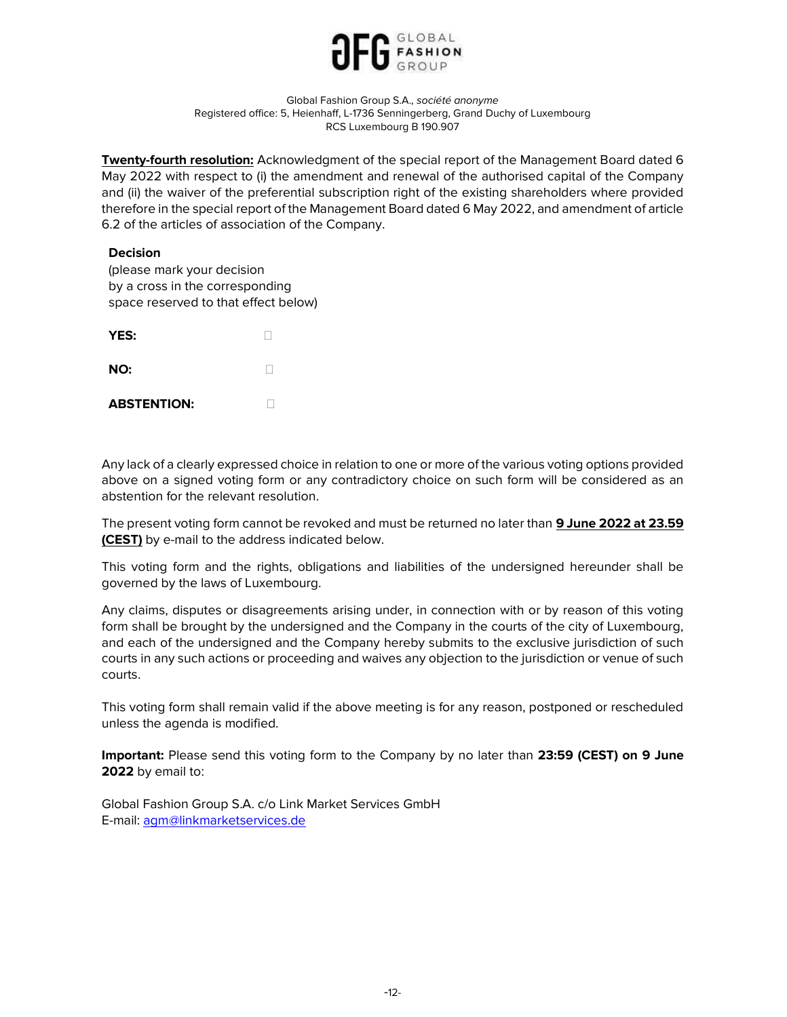

**Twenty-fourth resolution:** Acknowledgment of the special report of the Management Board dated 6 May 2022 with respect to (i) the amendment and renewal of the authorised capital of the Company and (ii) the waiver of the preferential subscription right of the existing shareholders where provided therefore in the special report of the Management Board dated 6 May 2022, and amendment of article 6.2 of the articles of association of the Company.

## Decision

(please mark your decision by a cross in the corresponding space reserved to that effect below)

| YES:               |  |
|--------------------|--|
| NO:                |  |
| <b>ABSTENTION:</b> |  |

Any lack of a clearly expressed choice in relation to one or more of the various voting options provided above on a signed voting form or any contradictory choice on such form will be considered as an abstention for the relevant resolution.

The present voting form cannot be revoked and must be returned no later than 9 June 2022 at 23.59 (CEST) by e-mail to the address indicated below.

This voting form and the rights, obligations and liabilities of the undersigned hereunder shall be governed by the laws of Luxembourg.

Any claims, disputes or disagreements arising under, in connection with or by reason of this voting form shall be brought by the undersigned and the Company in the courts of the city of Luxembourg, and each of the undersigned and the Company hereby submits to the exclusive jurisdiction of such courts in any such actions or proceeding and waives any objection to the jurisdiction or venue of such courts.

This voting form shall remain valid if the above meeting is for any reason, postponed or rescheduled unless the agenda is modified.

Important: Please send this voting form to the Company by no later than 23:59 (CEST) on 9 June 2022 by email to:

Global Fashion Group S.A. c/o Link Market Services GmbH E-mail: agm@linkmarketservices.de